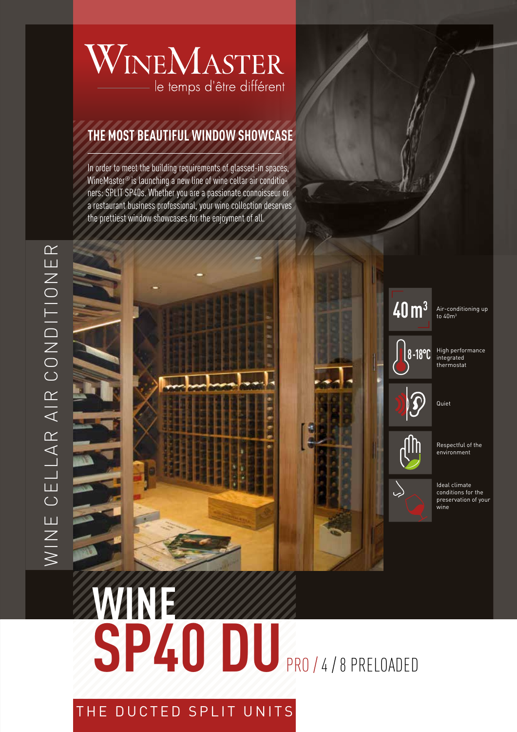# WINEMASTER le temps d'être différent

### **THE MOST BEAUTIFUL WINDOW SHOWCASE**

In order to meet the building requirements of glassed-in spaces, WineMaster® is launching a new line of wine cellar air conditioners: SPLIT SP40s. Whether you are a passionate connoisseur or a restaurant business professional, your wine collection deserves the prettiest window showcases for the enjoyment of all.

# **WINE** SP40 DU<sub>PRO / 4/8 PRELOADED</sub>

### THE DUCTED SPLIT UNITS



**8 -18°C**

 $\searrow$ 

High performance integrated thermostat

Quiet

Respectful of the environment

Ideal climate conditions for the preservation of your wine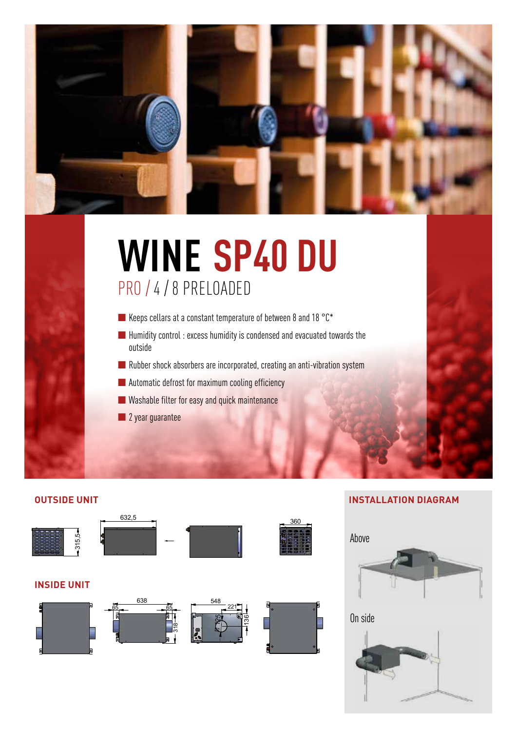

# **WINE SP40 DU** PRO / 4 / 8 PRELOADED

- Keeps cellars at a constant temperature of between 8 and 18 °C\*
- Humidity control: excess humidity is condensed and evacuated towards the outside
- Rubber shock absorbers are incorporated, creating an anti-vibration system
- Automatic defrost for maximum cooling efficiency
- Washable filter for easy and quick maintenance
- 2 year guarantee

**OUTSIDE UNIT**



**INSIDE UNIT**









#### **INSTALLATION DIAGRAM**





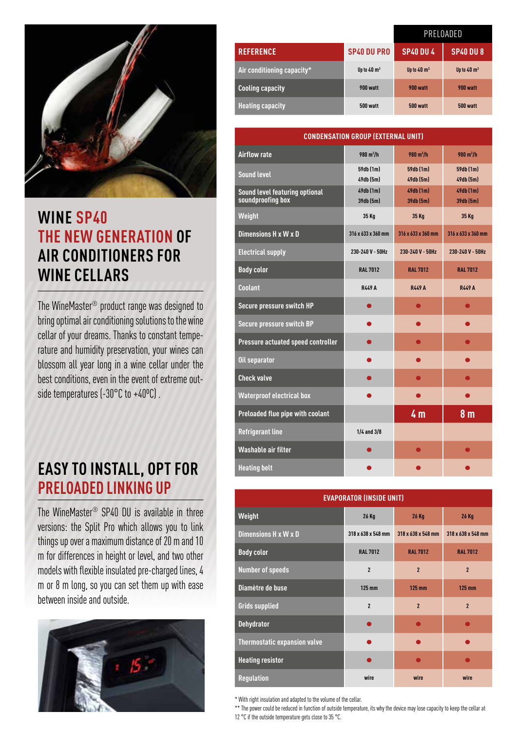

## **WINE SP40 THE NEW GENERATION OF AIR CONDITIONERS FOR WINE CELLARS**

The WineMaster® product range was designed to bring optimal air conditioning solutions to the wine cellar of your dreams. Thanks to constant temperature and humidity preservation, your wines can blossom all year long in a wine cellar under the best conditions, even in the event of extreme outside temperatures (-30°C to +40°C).

# **EASY TO INSTALL, OPT FOR PRELOADED LINKING UP**

The WineMaster® SP40 DU is available in three versions: the Split Pro which allows you to link things up over a maximum distance of 20 m and 10 m for differences in height or level, and two other models with flexible insulated pre-charged lines, 4 m or 8 m long, so you can set them up with ease between inside and outside.



|                            |                        | PRELOADED              |                        |
|----------------------------|------------------------|------------------------|------------------------|
| <b>REFERENCE</b>           | <b>SP40 DU PRO</b>     | <b>SP40 DU 4</b>       | <b>SP40 DU 8</b>       |
| Air conditioning capacity* | Up to $40 \text{ m}^3$ | Up to $40 \text{ m}^3$ | Up to $40 \text{ m}^3$ |
| <b>Cooling capacity</b>    | 900 watt               | 900 watt               | 900 watt               |
| <b>Heating capacity</b>    | 500 watt               | 500 watt               | <b>500 watt</b>        |

| <b>CONDENSATION GROUP (EXTERNAL UNIT)</b>           |                            |                            |                        |  |  |
|-----------------------------------------------------|----------------------------|----------------------------|------------------------|--|--|
| <b>Airflow rate</b>                                 | $980 \text{ m}^3/\text{h}$ | $980 \text{ m}^3/\text{h}$ | 980 m <sup>3</sup> /h  |  |  |
| <b>Sound level</b>                                  | 59db (1m)<br>49db (5m)     | 59db (1m)<br>49db (5m)     | 59db (1m)<br>49db (5m) |  |  |
| Sound level featuring optional<br>soundproofing box | 49db (1m)<br>39db (5m)     | 49db (1m)<br>39db (5m)     | 49db (1m)<br>39db (5m) |  |  |
| Weight                                              | 35 Kg                      | 35 Kg                      | 35 Kg                  |  |  |
| Dimensions H x W x D                                | 316 x 633 x 360 mm         | 316 x 633 x 360 mm         | 316 x 633 x 360 mm     |  |  |
| <b>Electrical supply</b>                            | 230-240 V - 50Hz           | 230-240 V - 50Hz           | 230-240 V - 50Hz       |  |  |
| <b>Body color</b>                                   | <b>RAL 7012</b>            | <b>RAL 7012</b>            | <b>RAL 7012</b>        |  |  |
| <b>Coolant</b>                                      | <b>R449 A</b>              | <b>R449 A</b>              | <b>R449 A</b>          |  |  |
| Secure pressure switch HP                           |                            | $\bullet$                  | $\bullet$              |  |  |
| Secure pressure switch BP                           |                            |                            |                        |  |  |
| Pressure actuated speed controller                  |                            |                            |                        |  |  |
| Oil separator                                       |                            |                            |                        |  |  |
| <b>Check valve</b>                                  |                            |                            |                        |  |  |
| <b>Waterproof electrical box</b>                    |                            |                            |                        |  |  |
| Preloaded flue pipe with coolant                    |                            | 4 <sub>m</sub>             | 8 <sub>m</sub>         |  |  |
| <b>Refrigerant line</b>                             | $1/4$ and $3/8$            |                            |                        |  |  |
| Washable air filter                                 |                            |                            |                        |  |  |
| <b>Heating belt</b>                                 |                            |                            |                        |  |  |

| <b>EVAPORATOR (INSIDE UNIT)</b>     |                          |                         |                         |  |  |
|-------------------------------------|--------------------------|-------------------------|-------------------------|--|--|
| Weight                              | 26 Kg                    | <b>26 Kg</b>            | <b>26 Kg</b>            |  |  |
| Dimensions H x W x D                | 318 x 638 x 548 mm       | 318 x 638 x 548 mm      | 318 x 638 x 548 mm      |  |  |
| <b>Body color</b>                   | <b>RAL 7012</b>          | <b>RAL 7012</b>         | <b>RAL 7012</b>         |  |  |
| <b>Number of speeds</b>             | $\overline{2}$           | $\overline{2}$          | $\overline{2}$          |  |  |
| Diamètre de buse                    | 125 mm                   | 125 mm                  | <b>125 mm</b>           |  |  |
| <b>Grids supplied</b>               | $\overline{\phantom{a}}$ | $\overline{\mathbf{z}}$ | $\overline{\mathbf{z}}$ |  |  |
| <b>Dehydrator</b>                   |                          |                         |                         |  |  |
| <b>Thermostatic expansion valve</b> |                          |                         |                         |  |  |
| <b>Heating resistor</b>             |                          |                         |                         |  |  |
| <b>Regulation</b>                   | wire                     | wire                    | wire                    |  |  |

\* With right insulation and adapted to the volume of the cellar.

\*\* The power could be reduced in function of outside temperature, its why the device may lose capacity to keep the cellar at

12 °C if the outside temperature gets close to 35 °C.